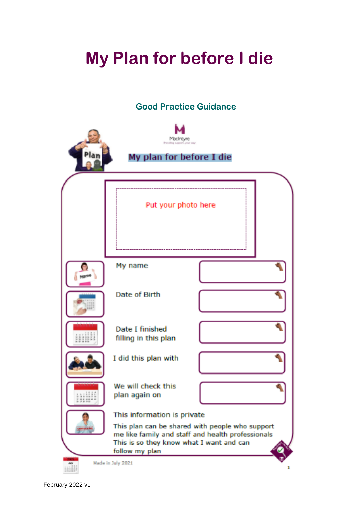# **My Plan for before I die**

# **Good Practice Guidance**

| Macintyre<br>Rraviding exposed, arous way<br>My plan for before I die |                                                                                                                                                                                                   |  |
|-----------------------------------------------------------------------|---------------------------------------------------------------------------------------------------------------------------------------------------------------------------------------------------|--|
|                                                                       | Put your photo here                                                                                                                                                                               |  |
|                                                                       | My name                                                                                                                                                                                           |  |
|                                                                       | Date of Birth                                                                                                                                                                                     |  |
| <b>M. 14 (6.14) 17 (8)</b><br><b>EBSIERS</b>                          | Date I finished<br>filling in this plan                                                                                                                                                           |  |
|                                                                       | I did this plan with                                                                                                                                                                              |  |
| ::::::<br>232227                                                      | We will check this<br>plan again on                                                                                                                                                               |  |
| <b>PE</b>                                                             | This information is private<br>This plan can be shared with people who support<br>me like family and staff and health professionals<br>This is so they know what I want and can<br>follow my plan |  |
| $\frac{1}{2}$<br>Made in July 2021<br><b>HALLI</b>                    |                                                                                                                                                                                                   |  |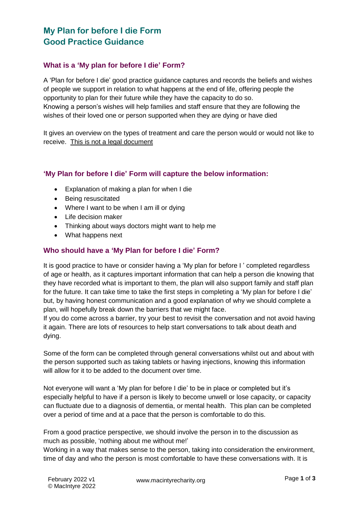# **My Plan for before I die Form Good Practice Guidance**

#### **What is a 'My plan for before I die' Form?**

A 'Plan for before I die' good practice guidance captures and records the beliefs and wishes of people we support in relation to what happens at the end of life, offering people the opportunity to plan for their future while they have the capacity to do so. Knowing a person's wishes will help families and staff ensure that they are following the wishes of their loved one or person supported when they are dying or have died

It gives an overview on the types of treatment and care the person would or would not like to receive. This is not a legal document

#### **'My Plan for before I die' Form will capture the below information:**

- Explanation of making a plan for when I die
- Being resuscitated
- Where I want to be when I am ill or dying
- Life decision maker
- Thinking about ways doctors might want to help me
- What happens next

#### **Who should have a 'My Plan for before I die' Form?**

It is good practice to have or consider having a 'My plan for before I ' completed regardless of age or health, as it captures important information that can help a person die knowing that they have recorded what is important to them, the plan will also support family and staff plan for the future. It can take time to take the first steps in completing a 'My plan for before I die' but, by having honest communication and a good explanation of why we should complete a plan, will hopefully break down the barriers that we might face.

If you do come across a barrier, try your best to revisit the conversation and not avoid having it again. There are lots of resources to help start conversations to talk about death and dying.

Some of the form can be completed through general conversations whilst out and about with the person supported such as taking tablets or having injections, knowing this information will allow for it to be added to the document over time.

Not everyone will want a 'My plan for before I die' to be in place or completed but it's especially helpful to have if a person is likely to become unwell or lose capacity, or capacity can fluctuate due to a diagnosis of dementia, or mental health. This plan can be completed over a period of time and at a pace that the person is comfortable to do this.

From a good practice perspective, we should involve the person in to the discussion as much as possible, 'nothing about me without me!'

Working in a way that makes sense to the person, taking into consideration the environment, time of day and who the person is most comfortable to have these conversations with. It is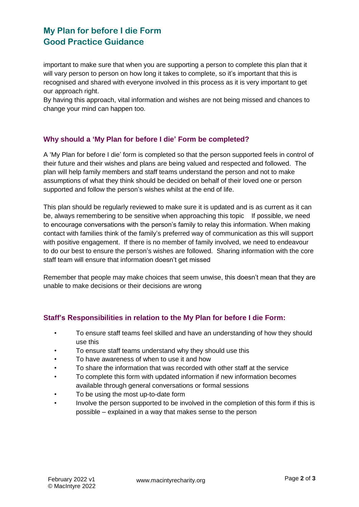# **My Plan for before I die Form Good Practice Guidance**

important to make sure that when you are supporting a person to complete this plan that it will vary person to person on how long it takes to complete, so it's important that this is recognised and shared with everyone involved in this process as it is very important to get our approach right.

By having this approach, vital information and wishes are not being missed and chances to change your mind can happen too.

#### **Why should a 'My Plan for before I die' Form be completed?**

A 'My Plan for before I die' form is completed so that the person supported feels in control of their future and their wishes and plans are being valued and respected and followed. The plan will help family members and staff teams understand the person and not to make assumptions of what they think should be decided on behalf of their loved one or person supported and follow the person's wishes whilst at the end of life.

This plan should be regularly reviewed to make sure it is updated and is as current as it can be, always remembering to be sensitive when approaching this topic If possible, we need to encourage conversations with the person's family to relay this information. When making contact with families think of the family's preferred way of communication as this will support with positive engagement. If there is no member of family involved, we need to endeavour to do our best to ensure the person's wishes are followed. Sharing information with the core staff team will ensure that information doesn't get missed

Remember that people may make choices that seem unwise, this doesn't mean that they are unable to make decisions or their decisions are wrong

#### **Staff's Responsibilities in relation to the My Plan for before I die Form:**

- To ensure staff teams feel skilled and have an understanding of how they should use this
- To ensure staff teams understand why they should use this
- To have awareness of when to use it and how
- To share the information that was recorded with other staff at the service
- To complete this form with updated information if new information becomes available through general conversations or formal sessions
- To be using the most up-to-date form
- Involve the person supported to be involved in the completion of this form if this is possible – explained in a way that makes sense to the person